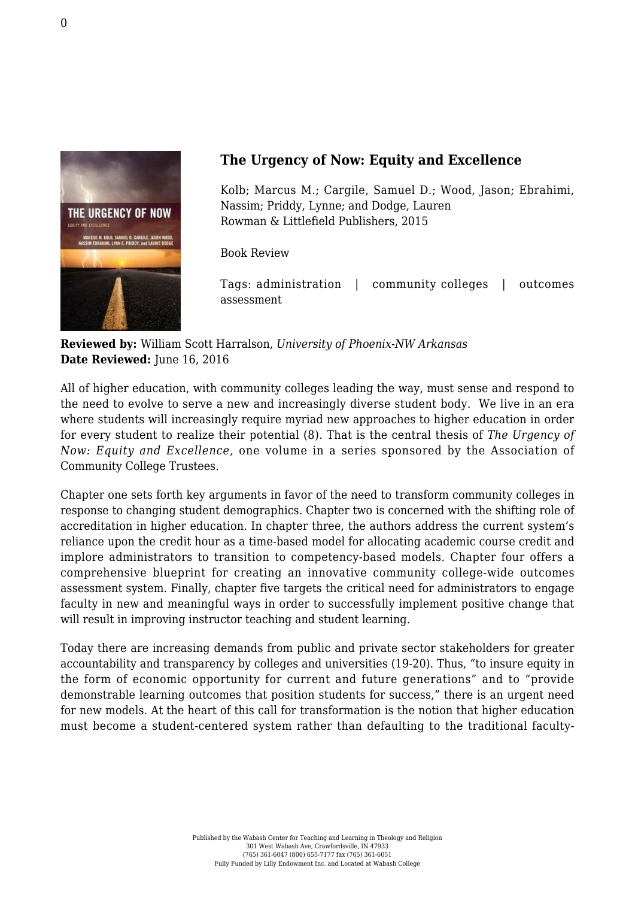

## **The Urgency of Now: Equity and Excellence**

Kolb; Marcus M.; Cargile, Samuel D.; Wood, Jason; Ebrahimi, Nassim; Priddy, Lynne; and Dodge, Lauren [Rowman & Littlefield Publishers, 2015](https://rowman.com/ISBN/9781475814507/The-Urgency-of-Now-Equity-and-Excellence#)

Book Review

Tags: administration | community colleges | outcomes assessment

**Reviewed by:** William Scott Harralson, *University of Phoenix-NW Arkansas* **Date Reviewed:** June 16, 2016

All of higher education, with community colleges leading the way, must sense and respond to the need to evolve to serve a new and increasingly diverse student body. We live in an era where students will increasingly require myriad new approaches to higher education in order for every student to realize their potential (8). That is the central thesis of *The Urgency of Now: Equity and Excellence,* one volume in a series sponsored by the Association of Community College Trustees.

Chapter one sets forth key arguments in favor of the need to transform community colleges in response to changing student demographics. Chapter two is concerned with the shifting role of accreditation in higher education. In chapter three, the authors address the current system's reliance upon the credit hour as a time-based model for allocating academic course credit and implore administrators to transition to competency-based models. Chapter four offers a comprehensive blueprint for creating an innovative community college-wide outcomes assessment system. Finally, chapter five targets the critical need for administrators to engage faculty in new and meaningful ways in order to successfully implement positive change that will result in improving instructor teaching and student learning.

Today there are increasing demands from public and private sector stakeholders for greater accountability and transparency by colleges and universities (19-20). Thus, "to insure equity in the form of economic opportunity for current and future generations" and to "provide demonstrable learning outcomes that position students for success," there is an urgent need for new models. At the heart of this call for transformation is the notion that higher education must become a student-centered system rather than defaulting to the traditional faculty